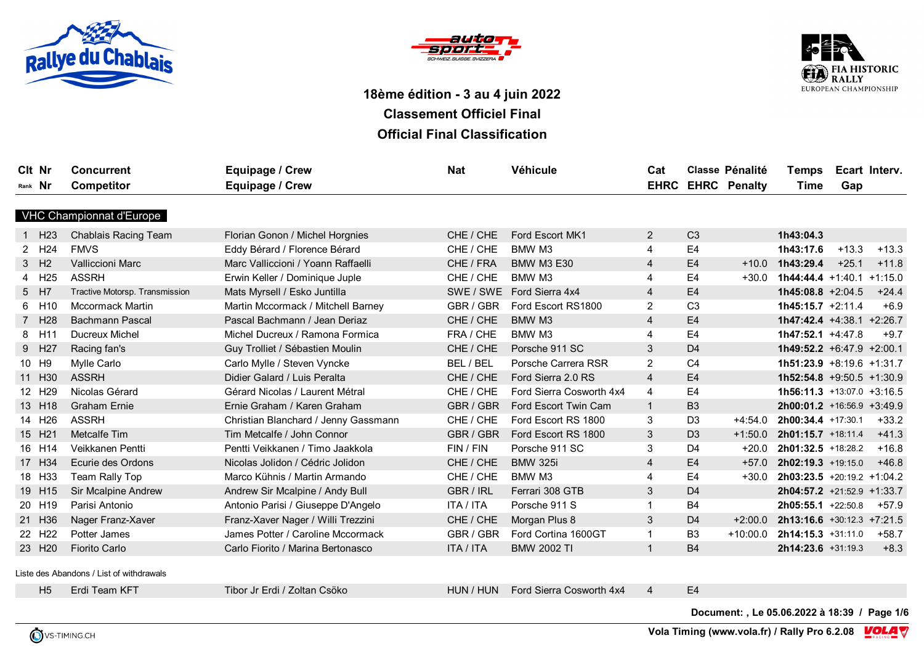





| Cit Nr<br>Rank Nr |                    | <b>Concurrent</b><br><b>Competitor</b>   | <b>Equipage / Crew</b><br>Equipage / Crew | <b>Nat</b>       | <b>Véhicule</b>          | Cat                       |                | <b>Classe Pénalité</b><br><b>EHRC EHRC Penalty</b> | <b>Temps</b><br>Time         | Gap     | Ecart Interv. |
|-------------------|--------------------|------------------------------------------|-------------------------------------------|------------------|--------------------------|---------------------------|----------------|----------------------------------------------------|------------------------------|---------|---------------|
|                   |                    | VHC Championnat d'Europe                 |                                           |                  |                          |                           |                |                                                    |                              |         |               |
|                   | 1 H <sub>23</sub>  | Chablais Racing Team                     | Florian Gonon / Michel Horgnies           | CHE / CHE        | Ford Escort MK1          | 2                         | C <sub>3</sub> |                                                    | 1h43:04.3                    |         |               |
|                   | 2 H <sub>24</sub>  | <b>FMVS</b>                              | Eddy Bérard / Florence Bérard             | CHE / CHE        | BMW M3                   | $\overline{\mathbf{4}}$   | E <sub>4</sub> |                                                    | 1h43:17.6                    | $+13.3$ | $+13.3$       |
| 3 H <sub>2</sub>  |                    | <b>Valliccioni Marc</b>                  | Marc Valliccioni / Yoann Raffaelli        | CHE / FRA        | <b>BMW M3 E30</b>        | 4                         | E4             | $+10.0$                                            | 1h43:29.4                    | $+25.1$ | $+11.8$       |
|                   | 4 H25              | <b>ASSRH</b>                             | Erwin Keller / Dominique Juple            | CHE / CHE        | BMW M3                   | $\overline{4}$            | E <sub>4</sub> | $+30.0$                                            | $1h44:44.4 +1:40.1 +1:15.0$  |         |               |
| 5 H7              |                    | Tractive Motorsp. Transmission           | Mats Myrsell / Esko Juntilla              | SWE / SWE        | Ford Sierra 4x4          | 4                         | E <sub>4</sub> |                                                    | $1h45:08.8 +2:04.5$          |         | $+24.4$       |
|                   | 6 H10              | <b>Mccormack Martin</b>                  | Martin Mccormack / Mitchell Barney        | GBR / GBR        | Ford Escort RS1800       | $\overline{2}$            | C <sub>3</sub> |                                                    | $1h45:15.7 +2:11.4$          |         | $+6.9$        |
|                   | 7 H28              | Bachmann Pascal                          | Pascal Bachmann / Jean Deriaz             | CHE / CHE        | BMW M3                   | 4                         | E4             |                                                    | 1h47:42.4 +4:38.1 +2:26.7    |         |               |
|                   | 8 H11              | <b>Ducreux Michel</b>                    | Michel Ducreux / Ramona Formica           | FRA / CHE        | BMW M3                   | $\overline{4}$            | E <sub>4</sub> |                                                    | 1h47:52.1 +4:47.8            |         | $+9.7$        |
|                   | 9 H27              | Racing fan's                             | Guy Trolliet / Sébastien Moulin           | CHE / CHE        | Porsche 911 SC           | 3                         | D <sub>4</sub> |                                                    | 1h49:52.2 +6:47.9 +2:00.1    |         |               |
| 10 H9             |                    | Mylle Carlo                              | Carlo Mylle / Steven Vyncke               | BEL / BEL        | Porsche Carrera RSR      | $\overline{2}$            | C <sub>4</sub> |                                                    | 1h51:23.9 +8:19.6 +1:31.7    |         |               |
|                   | 11 H30             | <b>ASSRH</b>                             | Didier Galard / Luis Peralta              | CHE / CHE        | Ford Sierra 2.0 RS       | $\overline{4}$            | E <sub>4</sub> |                                                    | $1h52:54.8$ +9:50.5 +1:30.9  |         |               |
|                   | 12 H <sub>29</sub> | Nicolas Gérard                           | Gérard Nicolas / Laurent Métral           | CHE / CHE        | Ford Sierra Cosworth 4x4 | $\overline{4}$            | E <sub>4</sub> |                                                    | 1h56:11.3 +13:07.0 +3:16.5   |         |               |
|                   | 13 H18             | <b>Graham Ernie</b>                      | Ernie Graham / Karen Graham               | GBR / GBR        | Ford Escort Twin Cam     | $\mathbf{1}$              | B <sub>3</sub> |                                                    | $2h00:01.2$ +16:56.9 +3:49.9 |         |               |
|                   | 14 H <sub>26</sub> | <b>ASSRH</b>                             | Christian Blanchard / Jenny Gassmann      | CHE / CHE        | Ford Escort RS 1800      | $\ensuremath{\mathsf{3}}$ | D <sub>3</sub> | $+4:54.0$                                          | 2h00:34.4 +17:30.1           |         | $+33.2$       |
|                   | 15 H21             | Metcalfe Tim                             | Tim Metcalfe / John Connor                | GBR / GBR        | Ford Escort RS 1800      | 3                         | D <sub>3</sub> | $+1:50.0$                                          | 2h01:15.7 +18:11.4           |         | $+41.3$       |
|                   | 16 H14             | Veikkanen Pentti                         | Pentti Veikkanen / Timo Jaakkola          | FIN / FIN        | Porsche 911 SC           | $\mathfrak{S}$            | D <sub>4</sub> | $+20.0$                                            | 2h01:32.5 +18:28.2           |         | $+16.8$       |
|                   | 17 H34             | Ecurie des Ordons                        | Nicolas Jolidon / Cédric Jolidon          | CHE / CHE        | <b>BMW 325i</b>          | 4                         | E <sub>4</sub> | $+57.0$                                            | $2h02:19.3$ +19:15.0         |         | $+46.8$       |
|                   | 18 H33             | Team Rally Top                           | Marco Kühnis / Martin Armando             | CHE / CHE        | BMW M3                   | $\overline{\mathbf{4}}$   | E <sub>4</sub> | $+30.0$                                            | 2h03:23.5 +20:19.2 +1:04.2   |         |               |
|                   | 19 H15             | Sir Mcalpine Andrew                      | Andrew Sir Mcalpine / Andy Bull           | GBR / IRL        | Ferrari 308 GTB          | 3                         | D <sub>4</sub> |                                                    | $2h04:57.2$ +21:52.9 +1:33.7 |         |               |
|                   | 20 H19             | Parisi Antonio                           | Antonio Parisi / Giuseppe D'Angelo        | <b>ITA / ITA</b> | Porsche 911 S            | $\mathbf{1}$              | <b>B4</b>      |                                                    | $2h05:55.1 +22:50.8 +57.9$   |         |               |
|                   | 21 H36             | Nager Franz-Xaver                        | Franz-Xaver Nager / Willi Trezzini        | CHE / CHE        | Morgan Plus 8            | 3                         | D <sub>4</sub> | $+2:00.0$                                          | $2h13:16.6$ +30:12.3 +7:21.5 |         |               |
|                   | 22 H <sub>22</sub> | Potter James                             | James Potter / Caroline Mccormack         | GBR / GBR        | Ford Cortina 1600GT      | $\mathbf{1}$              | B <sub>3</sub> | $+10:00.0$                                         | $2h14:15.3$ +31:11.0         |         | $+58.7$       |
|                   | 23 H <sub>20</sub> | <b>Fiorito Carlo</b>                     | Carlo Fiorito / Marina Bertonasco         | <b>ITA / ITA</b> | <b>BMW 2002 TI</b>       | $\mathbf{1}$              | <b>B4</b>      |                                                    | 2h14:23.6 +31:19.3           |         | $+8.3$        |
|                   |                    | Liste des Abandons / List of withdrawals |                                           |                  |                          |                           |                |                                                    |                              |         |               |

H5 Erdi Team KFT Tibor Jr Erdi / Zoltan Csöko HUN / HUN / HUN Ford Sierra Cosworth 4x4 4 E4

**Document: , Le 05.06.2022 à 18:39 / Page 1/6**



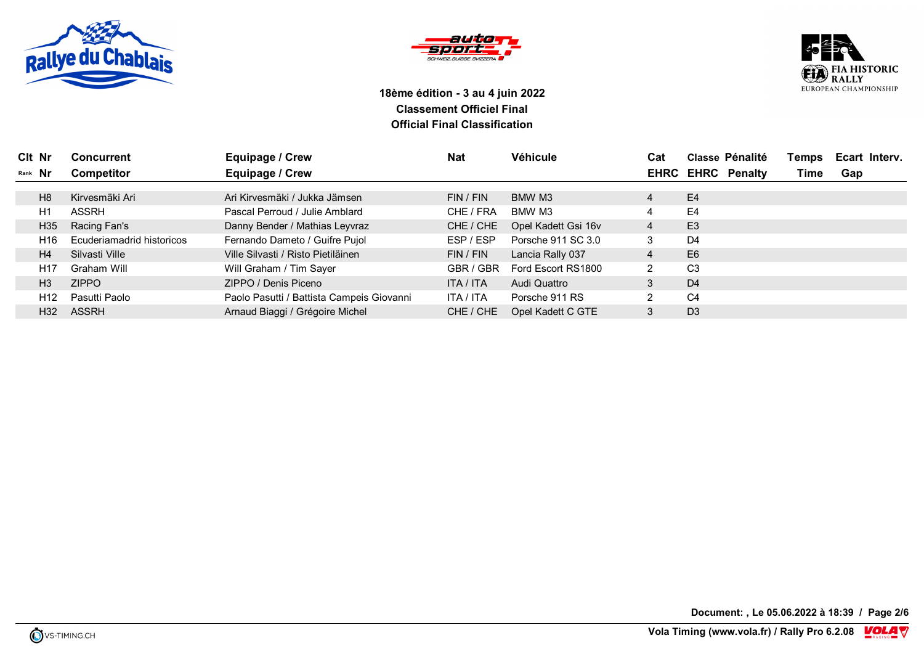





| Clt Nr  |                 | <b>Concurrent</b>         | Equipage / Crew                           | <b>Nat</b> | Véhicule            | Cat            |                | Classe Pénalité          | Temps | Ecart Interv. |
|---------|-----------------|---------------------------|-------------------------------------------|------------|---------------------|----------------|----------------|--------------------------|-------|---------------|
| Rank Nr |                 | <b>Competitor</b>         | Equipage / Crew                           |            |                     |                |                | <b>EHRC EHRC Penalty</b> | Time  | Gap           |
|         |                 |                           |                                           |            |                     |                |                |                          |       |               |
|         | H <sub>8</sub>  | Kirvesmäki Ari            | Ari Kirvesmäki / Jukka Jämsen             | FIN / FIN  | BMW M3              | $\overline{4}$ | E <sub>4</sub> |                          |       |               |
|         | H1              | <b>ASSRH</b>              | Pascal Perroud / Julie Amblard            | CHE / FRA  | BMW M3              | 4              | E <sub>4</sub> |                          |       |               |
|         | H <sub>35</sub> | Racing Fan's              | Danny Bender / Mathias Leyvraz            | CHE / CHE  | Opel Kadett Gsi 16v | 4              | E <sub>3</sub> |                          |       |               |
|         | H <sub>16</sub> | Ecuderiamadrid historicos | Fernando Dameto / Guifre Pujol            | ESP / ESP  | Porsche 911 SC 3.0  | 3              | D <sub>4</sub> |                          |       |               |
|         | H <sub>4</sub>  | Silvasti Ville            | Ville Silvasti / Risto Pietiläinen        | FIN / FIN  | Lancia Rally 037    | 4              | E <sub>6</sub> |                          |       |               |
|         | H <sub>17</sub> | Graham Will               | Will Graham / Tim Sayer                   | GBR / GBR  | Ford Escort RS1800  | $\overline{2}$ | C <sub>3</sub> |                          |       |               |
|         | H <sub>3</sub>  | <b>ZIPPO</b>              | ZIPPO / Denis Piceno                      | ITA / ITA  | Audi Quattro        |                | D <sub>4</sub> |                          |       |               |
|         | H <sub>12</sub> | Pasutti Paolo             | Paolo Pasutti / Battista Campeis Giovanni | ITA / ITA  | Porsche 911 RS      | $\overline{2}$ | C <sub>4</sub> |                          |       |               |
|         | H <sub>32</sub> | <b>ASSRH</b>              | Arnaud Biaggi / Grégoire Michel           | CHE / CHE  | Opel Kadett C GTE   |                | D <sub>3</sub> |                          |       |               |

**Document: , Le 05.06.2022 à 18:39 / Page 2/6**

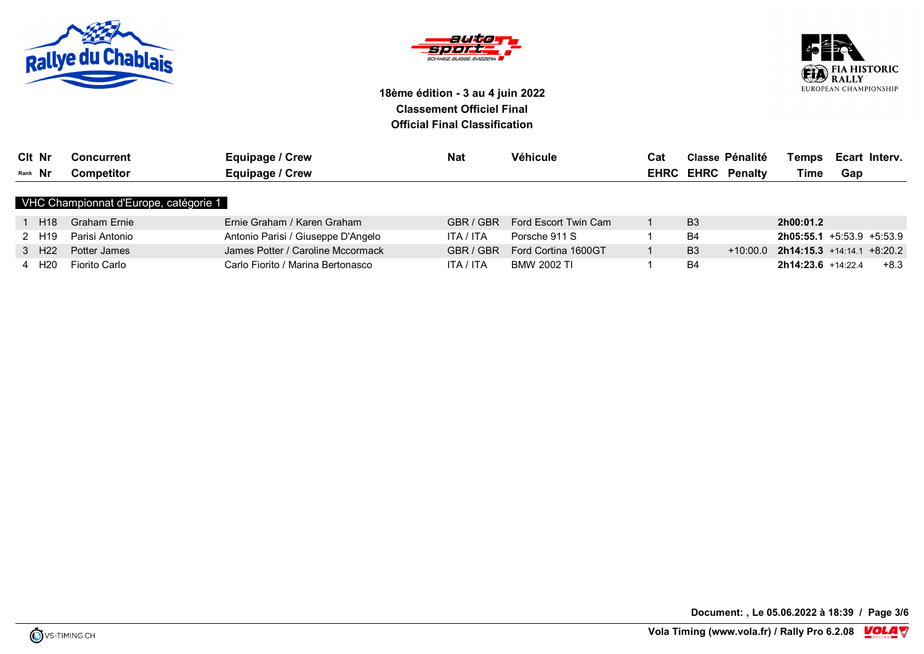





| Clt Nr         | Concurrent | Equipage / Crew | <b>Nat</b> | Véhicule | Cat  | <b>Classe Pénalité</b> | Temps | Ecart Interv. |
|----------------|------------|-----------------|------------|----------|------|------------------------|-------|---------------|
| Rank <b>Nr</b> | Competitor | Equipage / Crew |            |          | EHRC | <b>EHRC</b> Penalty    | Time  | Gap           |

#### VHC Championnat d'Europe, catégorie 1

| H18               | Graham Ernie   | Ernie Graham / Karen Graham        | GBR / GBR | Ford Escort Twin Cam | B <sub>3</sub> |          | 2h00:01.2                        |      |
|-------------------|----------------|------------------------------------|-----------|----------------------|----------------|----------|----------------------------------|------|
| ∠ H19             | Parisi Antonio | Antonio Parisi / Giuseppe D'Angelo | ITA / ITA | Porsche 911 S        | B4             |          | <b>2h05:55.1</b> +5:53.9 +5:53.9 |      |
| 3 H <sub>22</sub> | Potter James   | James Potter / Caroline Mccormack  | GBR / GBR | Ford Cortina 1600GT  | B3             | +10:00.0 | $2h14:15.3$ +14:14.1 +8:20.2     |      |
| H20               | Fiorito Carlo  | Carlo Fiorito / Marina Bertonasco  | ITA / ITA | BMW 2002 TI          | B4             |          | $2h14:23.6$ +14:22.4             | +8.3 |

**Document: , Le 05.06.2022 à 18:39 / Page 3/6**

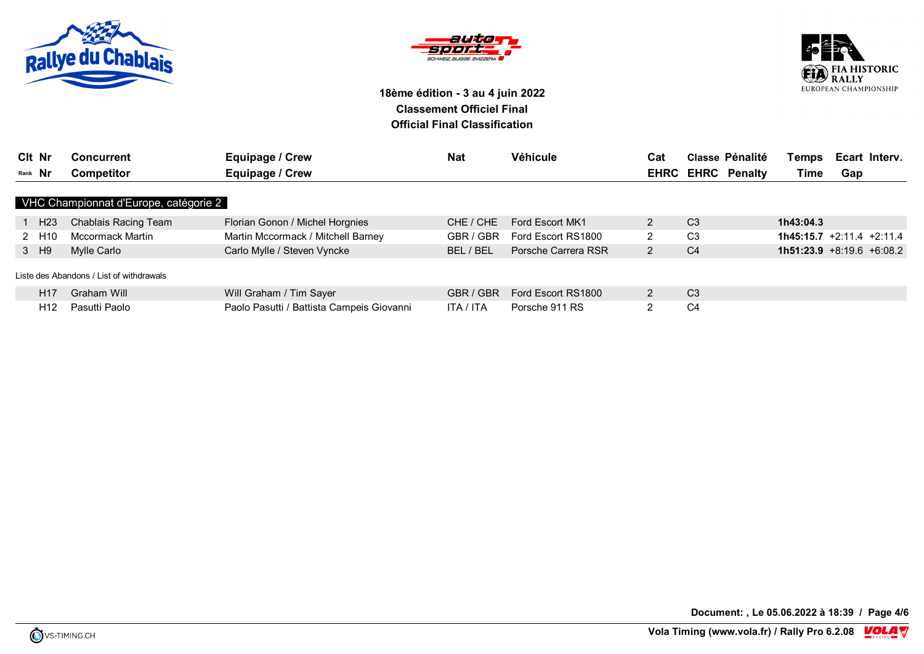





| Clt Nr            | <b>Concurrent</b>                        | Equipage / Crew                           | <b>Nat</b> | Véhicule            | Cat            | Classe Pénalité          | <b>Temps</b>                | Ecart Intery. |  |
|-------------------|------------------------------------------|-------------------------------------------|------------|---------------------|----------------|--------------------------|-----------------------------|---------------|--|
| Rank Nr           | Competitor                               | Equipage / Crew                           |            |                     |                | <b>EHRC EHRC Penalty</b> | Time                        | Gap           |  |
|                   | VHC Championnat d'Europe, catégorie 2    |                                           |            |                     |                |                          |                             |               |  |
| 1 H <sub>23</sub> | Chablais Racing Team                     | Florian Gonon / Michel Horgnies           | CHE / CHE  | Ford Escort MK1     | 2              | C <sub>3</sub>           | 1h43:04.3                   |               |  |
| 2 H10             | Mccormack Martin                         | Martin Mccormack / Mitchell Barney        | GBR / GBR  | Ford Escort RS1800  | $\overline{2}$ | C <sub>3</sub>           | $1h45:15.7 +2:11.4 +2:11.4$ |               |  |
| 3 H9              | Mylle Carlo                              | Carlo Mylle / Steven Vyncke               | BEL / BEL  | Porsche Carrera RSR | $\overline{2}$ | C <sub>4</sub>           | $1h51:23.9 +8:19.6 +6:08.2$ |               |  |
|                   | Liste des Abandons / List of withdrawals |                                           |            |                     |                |                          |                             |               |  |
| H <sub>17</sub>   | Graham Will                              | Will Graham / Tim Sayer                   | GBR / GBR  | Ford Escort RS1800  | 2              | C <sub>3</sub>           |                             |               |  |
| H <sub>12</sub>   | Pasutti Paolo                            | Paolo Pasutti / Battista Campeis Giovanni | ITA / ITA  | Porsche 911 RS      | 2              | C <sub>4</sub>           |                             |               |  |

**Document: , Le 05.06.2022 à 18:39 / Page 4/6**

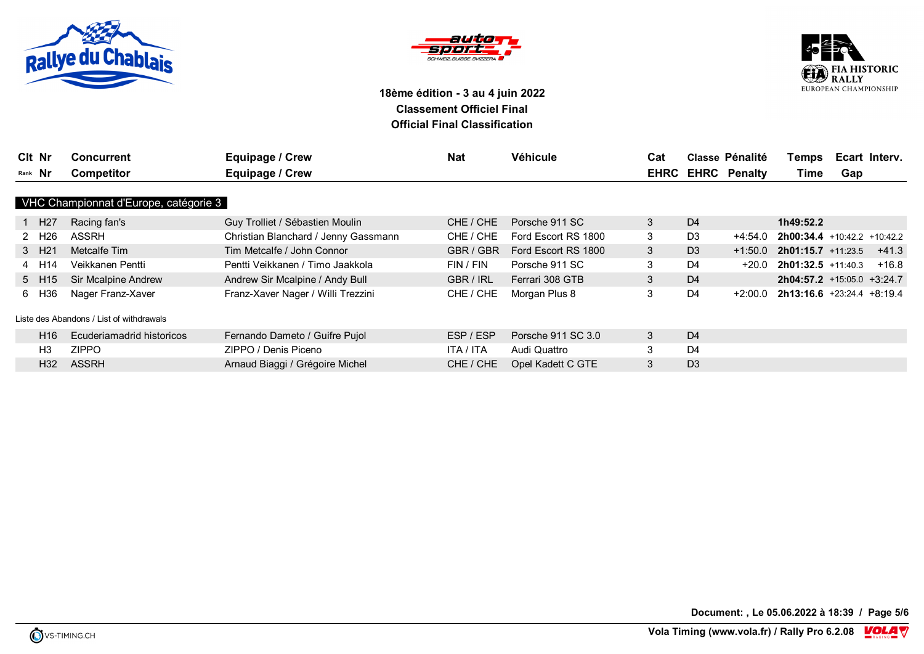





| Cit Nr  |                   | <b>Concurrent</b>                        | Equipage / Crew                      | <b>Nat</b> | Véhicule            | Cat |                | <b>Classe Pénalité</b>   | Temps                         | Ecart Interv. |         |
|---------|-------------------|------------------------------------------|--------------------------------------|------------|---------------------|-----|----------------|--------------------------|-------------------------------|---------------|---------|
| Rank Nr |                   | <b>Competitor</b>                        | Equipage / Crew                      |            |                     |     |                | <b>EHRC EHRC Penalty</b> | Time                          | Gap           |         |
|         |                   |                                          |                                      |            |                     |     |                |                          |                               |               |         |
|         |                   | VHC Championnat d'Europe, catégorie 3    |                                      |            |                     |     |                |                          |                               |               |         |
|         | 1 H <sub>27</sub> | Racing fan's                             | Guy Trolliet / Sébastien Moulin      | CHE / CHE  | Porsche 911 SC      | 3   | D <sub>4</sub> |                          | 1h49:52.2                     |               |         |
|         | 2 H <sub>26</sub> | ASSRH                                    | Christian Blanchard / Jenny Gassmann | CHE / CHE  | Ford Escort RS 1800 | 3   | D <sub>3</sub> | +4:54.0                  | $2h00:34.4$ +10:42.2 +10:42.2 |               |         |
|         | 3 H <sub>21</sub> | Metcalfe Tim                             | Tim Metcalfe / John Connor           | GBR / GBR  | Ford Escort RS 1800 | 3   | D <sub>3</sub> | $+1:50.0$                | $2h01:15.7$ +11:23.5          |               | $+41.3$ |
|         | 4 H14             | Veikkanen Pentti                         | Pentti Veikkanen / Timo Jaakkola     | FIN / FIN  | Porsche 911 SC      | 3   | D <sub>4</sub> | $+20.0$                  | $2h01:32.5$ +11:40.3          |               | $+16.8$ |
|         | 5 H15             | Sir Mcalpine Andrew                      | Andrew Sir Mcalpine / Andy Bull      | GBR / IRL  | Ferrari 308 GTB     | 3   | D <sub>4</sub> |                          | $2h04:57.2$ +15:05.0 +3:24.7  |               |         |
|         | 6 H36             | Nager Franz-Xaver                        | Franz-Xaver Nager / Willi Trezzini   | CHE / CHE  | Morgan Plus 8       | 3   | D <sub>4</sub> | $+2:00.0$                | $2h13:16.6$ +23:24.4 +8:19.4  |               |         |
|         |                   |                                          |                                      |            |                     |     |                |                          |                               |               |         |
|         |                   | Liste des Abandons / List of withdrawals |                                      |            |                     |     |                |                          |                               |               |         |
|         | H <sub>16</sub>   | Ecuderiamadrid historicos                | Fernando Dameto / Guifre Pujol       | ESP / ESP  | Porsche 911 SC 3.0  | 3   | D <sub>4</sub> |                          |                               |               |         |
|         | H3                | <b>ZIPPO</b>                             | ZIPPO / Denis Piceno                 | ITA / ITA  | Audi Quattro        | 3   | D <sub>4</sub> |                          |                               |               |         |
|         | H32               | <b>ASSRH</b>                             | Arnaud Biaggi / Grégoire Michel      | CHE / CHE  | Opel Kadett C GTE   | 3   | D <sub>3</sub> |                          |                               |               |         |

**Document: , Le 05.06.2022 à 18:39 / Page 5/6**